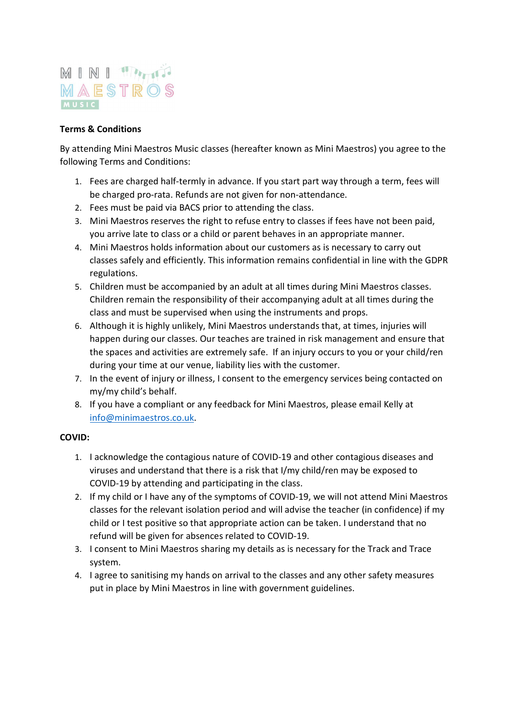## MINITAN MAESTROS

## Terms & Conditions

By attending Mini Maestros Music classes (hereafter known as Mini Maestros) you agree to the following Terms and Conditions:

- 1. Fees are charged half-termly in advance. If you start part way through a term, fees will be charged pro-rata. Refunds are not given for non-attendance.
- 2. Fees must be paid via BACS prior to attending the class.
- 3. Mini Maestros reserves the right to refuse entry to classes if fees have not been paid, you arrive late to class or a child or parent behaves in an appropriate manner.
- 4. Mini Maestros holds information about our customers as is necessary to carry out classes safely and efficiently. This information remains confidential in line with the GDPR regulations.
- 5. Children must be accompanied by an adult at all times during Mini Maestros classes. Children remain the responsibility of their accompanying adult at all times during the class and must be supervised when using the instruments and props.
- 6. Although it is highly unlikely, Mini Maestros understands that, at times, injuries will happen during our classes. Our teaches are trained in risk management and ensure that the spaces and activities are extremely safe. If an injury occurs to you or your child/ren during your time at our venue, liability lies with the customer.
- 7. In the event of injury or illness, I consent to the emergency services being contacted on my/my child's behalf.
- 8. If you have a compliant or any feedback for Mini Maestros, please email Kelly at info@minimaestros.co.uk.

## COVID:

- 1. I acknowledge the contagious nature of COVID-19 and other contagious diseases and viruses and understand that there is a risk that I/my child/ren may be exposed to COVID-19 by attending and participating in the class.
- 2. If my child or I have any of the symptoms of COVID-19, we will not attend Mini Maestros classes for the relevant isolation period and will advise the teacher (in confidence) if my child or I test positive so that appropriate action can be taken. I understand that no refund will be given for absences related to COVID-19.
- 3. I consent to Mini Maestros sharing my details as is necessary for the Track and Trace system.
- 4. I agree to sanitising my hands on arrival to the classes and any other safety measures put in place by Mini Maestros in line with government guidelines.